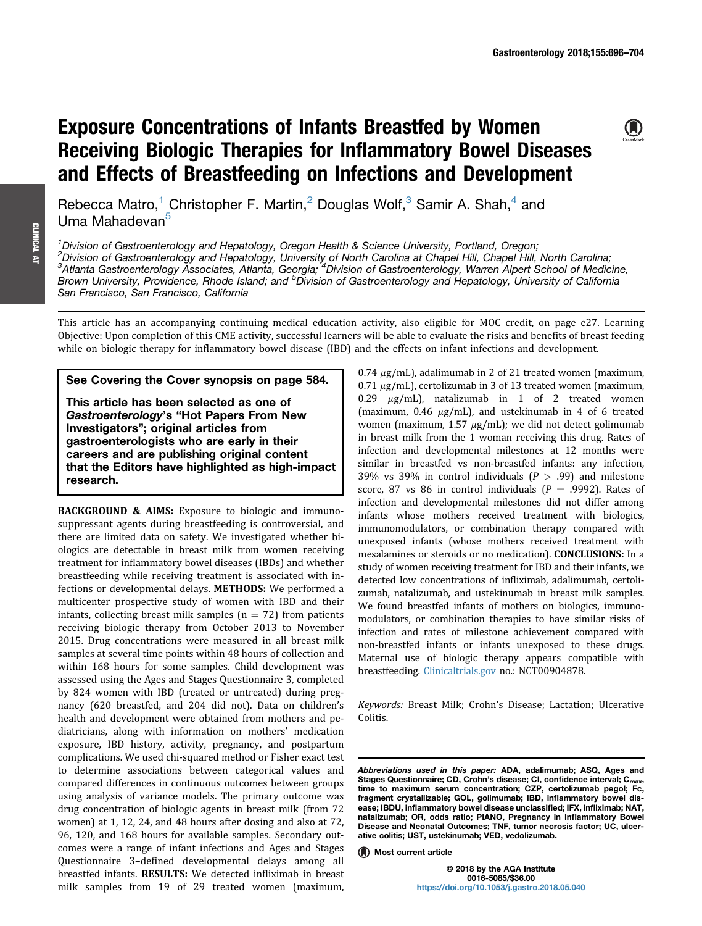# Exposure Concentrations of Infants Breastfed by Women Receiving Biologic Therapies for Inflammatory Bowel Diseases and Effects of Breastfeeding on Infections and Development

 $\bigcirc$ 

Rebecca Matro,<sup>1</sup> Christopher F. Martin,<sup>2</sup> Douglas Wolf,<sup>3</sup> Samir A. Shah,<sup>4</sup> and Uma Mahadevan<sup>5</sup>

<sup>1</sup> Division of Gastroenterology and Hepatology, Oregon Health & Science University, Portland, Oregon;

2 Division of Gastroenterology and Hepatology, University of North Carolina at Chapel Hill, Chapel Hill, North Carolina; <sup>3</sup>Atlanta Gastroenterology Associates, Atlanta, Georgia; <sup>4</sup>Division of Gastroenterology, Warren Alpert School of Medicine, Brown University, Providence, Rhode Island; and <sup>5</sup>Division of Gastroenterology and Hepatology, University of California San Francisco, San Francisco, California

This article has an accompanying continuing medical education activity, also eligible for MOC credit, on page e27. Learning Objective: Upon completion of this CME activity, successful learners will be able to evaluate the risks and benefits of breast feeding while on biologic therapy for inflammatory bowel disease (IBD) and the effects on infant infections and development.

# See Covering the Cover synopsis on page 584.

This article has been selected as one of Gastroenterology's "Hot Papers From New Investigators"; original articles from gastroenterologists who are early in their careers and are publishing original content that the Editors have highlighted as high-impact research.

BACKGROUND & AIMS: Exposure to biologic and immunosuppressant agents during breastfeeding is controversial, and there are limited data on safety. We investigated whether biologics are detectable in breast milk from women receiving treatment for inflammatory bowel diseases (IBDs) and whether breastfeeding while receiving treatment is associated with infections or developmental delays. METHODS: We performed a multicenter prospective study of women with IBD and their infants, collecting breast milk samples ( $n = 72$ ) from patients receiving biologic therapy from October 2013 to November 2015. Drug concentrations were measured in all breast milk samples at several time points within 48 hours of collection and within 168 hours for some samples. Child development was assessed using the Ages and Stages Questionnaire 3, completed by 824 women with IBD (treated or untreated) during pregnancy (620 breastfed, and 204 did not). Data on children's health and development were obtained from mothers and pediatricians, along with information on mothers' medication exposure, IBD history, activity, pregnancy, and postpartum complications. We used chi-squared method or Fisher exact test to determine associations between categorical values and compared differences in continuous outcomes between groups using analysis of variance models. The primary outcome was drug concentration of biologic agents in breast milk (from 72 women) at 1, 12, 24, and 48 hours after dosing and also at 72, 96, 120, and 168 hours for available samples. Secondary outcomes were a range of infant infections and Ages and Stages Questionnaire 3–defined developmental delays among all breastfed infants. RESULTS: We detected infliximab in breast milk samples from 19 of 29 treated women (maximum,

 $0.74 \mu g/mL$ ), adalimumab in 2 of 21 treated women (maximum,  $0.71 \mu$ g/mL), certolizumab in 3 of 13 treated women (maximum, 0.29  $\mu$ g/mL), natalizumab in 1 of 2 treated women (maximum,  $0.46 \mu g/mL$ ), and ustekinumab in 4 of 6 treated women (maximum,  $1.57 \mu g/mL$ ); we did not detect golimumab in breast milk from the 1 woman receiving this drug. Rates of infection and developmental milestones at 12 months were similar in breastfed vs non-breastfed infants: any infection, 39% vs 39% in control individuals  $(P > .99)$  and milestone score, 87 vs 86 in control individuals ( $P = .9992$ ). Rates of infection and developmental milestones did not differ among infants whose mothers received treatment with biologics, immunomodulators, or combination therapy compared with unexposed infants (whose mothers received treatment with mesalamines or steroids or no medication). CONCLUSIONS: In a study of women receiving treatment for IBD and their infants, we detected low concentrations of infliximab, adalimumab, certolizumab, natalizumab, and ustekinumab in breast milk samples. We found breastfed infants of mothers on biologics, immunomodulators, or combination therapies to have similar risks of infection and rates of milestone achievement compared with non-breastfed infants or infants unexposed to these drugs. Maternal use of biologic therapy appears compatible with breastfeeding. [Clinicaltrials.gov](http://Clinicaltrials.gov) no.: NCT00904878.

Keywords: Breast Milk; Crohn's Disease; Lactation; Ulcerative Colitis.

**Most current article** 

© 2018 by the AGA Institute 0016-5085/\$36.00 <https://doi.org/10.1053/j.gastro.2018.05.040>

Abbreviations used in this paper: ADA, adalimumab; ASQ, Ages and Stages Questionnaire; CD, Crohn's disease; CI, confidence interval; C<sub>max</sub>, time to maximum serum concentration; CZP, certolizumab pegol; Fc, fragment crystallizable; GOL, golimumab; IBD, inflammatory bowel disease; IBDU, inflammatory bowel disease unclassified; IFX, infliximab; NAT, natalizumab; OR, odds ratio; PIANO, Pregnancy in Inflammatory Bowel Disease and Neonatal Outcomes; TNF, tumor necrosis factor; UC, ulcerative colitis; UST, ustekinumab; VED, vedolizumab.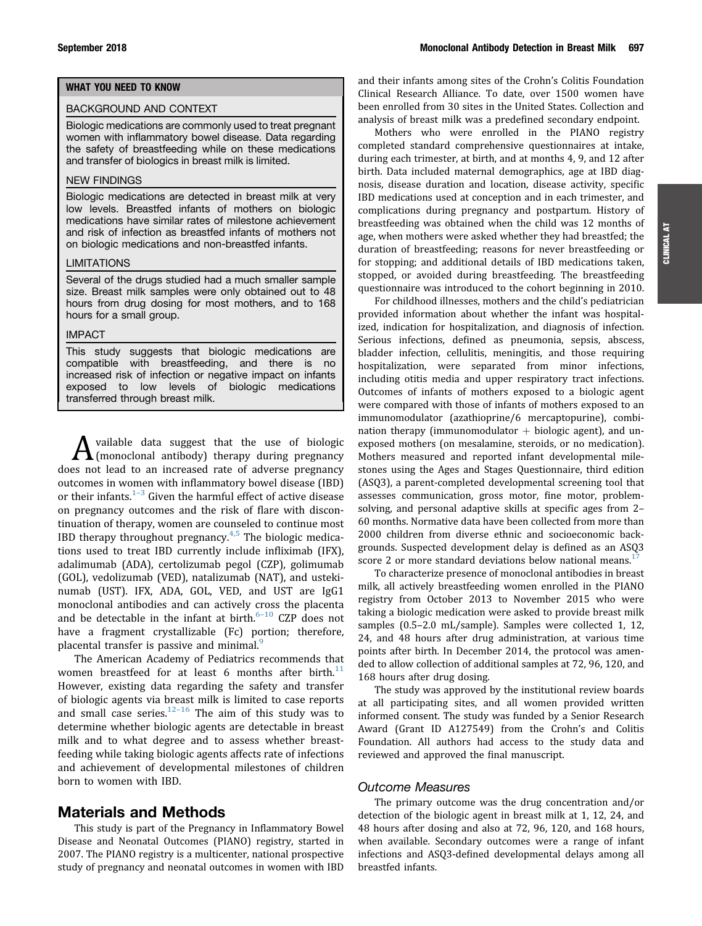# WHAT YOU NEED TO KNOW

### BACKGROUND AND CONTEXT

Biologic medications are commonly used to treat pregnant women with inflammatory bowel disease. Data regarding the safety of breastfeeding while on these medications and transfer of biologics in breast milk is limited.

## NEW FINDINGS

Biologic medications are detected in breast milk at very low levels. Breastfed infants of mothers on biologic medications have similar rates of milestone achievement and risk of infection as breastfed infants of mothers not on biologic medications and non-breastfed infants.

### **LIMITATIONS**

Several of the drugs studied had a much smaller sample size. Breast milk samples were only obtained out to 48 hours from drug dosing for most mothers, and to 168 hours for a small group.

#### IMPACT

This study suggests that biologic medications are compatible with breastfeeding, and there is no increased risk of infection or negative impact on infants exposed to low levels of biologic medications transferred through breast milk.

A vailable data suggest that the use of biologic<br>(monoclonal antibody) therapy during pregnancy does not lead to an increased rate of adverse pregnancy outcomes in women with inflammatory bowel disease (IBD) or their infants. $1-3$  $1-3$  $1-3$  Given the harmful effect of active disease on pregnancy outcomes and the risk of flare with discontinuation of therapy, women are counseled to continue most IBD therapy throughout pregnancy. $4,5$  The biologic medications used to treat IBD currently include infliximab (IFX), adalimumab (ADA), certolizumab pegol (CZP), golimumab (GOL), vedolizumab (VED), natalizumab (NAT), and ustekinumab (UST). IFX, ADA, GOL, VED, and UST are IgG1 monoclonal antibodies and can actively cross the placenta and be detectable in the infant at birth. $6-10$  $6-10$  $6-10$  CZP does not have a fragment crystallizable (Fc) portion; therefore, placental transfer is passive and minimal.<sup>[9](#page-7-0)</sup>

The American Academy of Pediatrics recommends that women breastfeed for at least 6 months after birth.<sup>[11](#page-7-0)</sup> However, existing data regarding the safety and transfer of biologic agents via breast milk is limited to case reports and small case series. $12-16$  $12-16$  The aim of this study was to determine whether biologic agents are detectable in breast milk and to what degree and to assess whether breastfeeding while taking biologic agents affects rate of infections and achievement of developmental milestones of children born to women with IBD.

# Materials and Methods

This study is part of the Pregnancy in Inflammatory Bowel Disease and Neonatal Outcomes (PIANO) registry, started in 2007. The PIANO registry is a multicenter, national prospective study of pregnancy and neonatal outcomes in women with IBD and their infants among sites of the Crohn's Colitis Foundation Clinical Research Alliance. To date, over 1500 women have been enrolled from 30 sites in the United States. Collection and analysis of breast milk was a predefined secondary endpoint.

Mothers who were enrolled in the PIANO registry completed standard comprehensive questionnaires at intake, during each trimester, at birth, and at months 4, 9, and 12 after birth. Data included maternal demographics, age at IBD diagnosis, disease duration and location, disease activity, specific IBD medications used at conception and in each trimester, and complications during pregnancy and postpartum. History of breastfeeding was obtained when the child was 12 months of age, when mothers were asked whether they had breastfed; the duration of breastfeeding; reasons for never breastfeeding or for stopping; and additional details of IBD medications taken, stopped, or avoided during breastfeeding. The breastfeeding questionnaire was introduced to the cohort beginning in 2010.

For childhood illnesses, mothers and the child's pediatrician provided information about whether the infant was hospitalized, indication for hospitalization, and diagnosis of infection. Serious infections, defined as pneumonia, sepsis, abscess, bladder infection, cellulitis, meningitis, and those requiring hospitalization, were separated from minor infections, including otitis media and upper respiratory tract infections. Outcomes of infants of mothers exposed to a biologic agent were compared with those of infants of mothers exposed to an immunomodulator (azathioprine/6 mercaptopurine), combination therapy (immunomodulator  $+$  biologic agent), and unexposed mothers (on mesalamine, steroids, or no medication). Mothers measured and reported infant developmental milestones using the Ages and Stages Questionnaire, third edition (ASQ3), a parent-completed developmental screening tool that assesses communication, gross motor, fine motor, problemsolving, and personal adaptive skills at specific ages from 2– 60 months. Normative data have been collected from more than 2000 children from diverse ethnic and socioeconomic backgrounds. Suspected development delay is defined as an ASQ3 score 2 or more standard deviations below national means. $17$ 

To characterize presence of monoclonal antibodies in breast milk, all actively breastfeeding women enrolled in the PIANO registry from October 2013 to November 2015 who were taking a biologic medication were asked to provide breast milk samples (0.5–2.0 mL/sample). Samples were collected 1, 12, 24, and 48 hours after drug administration, at various time points after birth. In December 2014, the protocol was amended to allow collection of additional samples at 72, 96, 120, and 168 hours after drug dosing.

The study was approved by the institutional review boards at all participating sites, and all women provided written informed consent. The study was funded by a Senior Research Award (Grant ID A127549) from the Crohn's and Colitis Foundation. All authors had access to the study data and reviewed and approved the final manuscript.

### Outcome Measures

The primary outcome was the drug concentration and/or detection of the biologic agent in breast milk at 1, 12, 24, and 48 hours after dosing and also at 72, 96, 120, and 168 hours, when available. Secondary outcomes were a range of infant infections and ASQ3-defined developmental delays among all breastfed infants.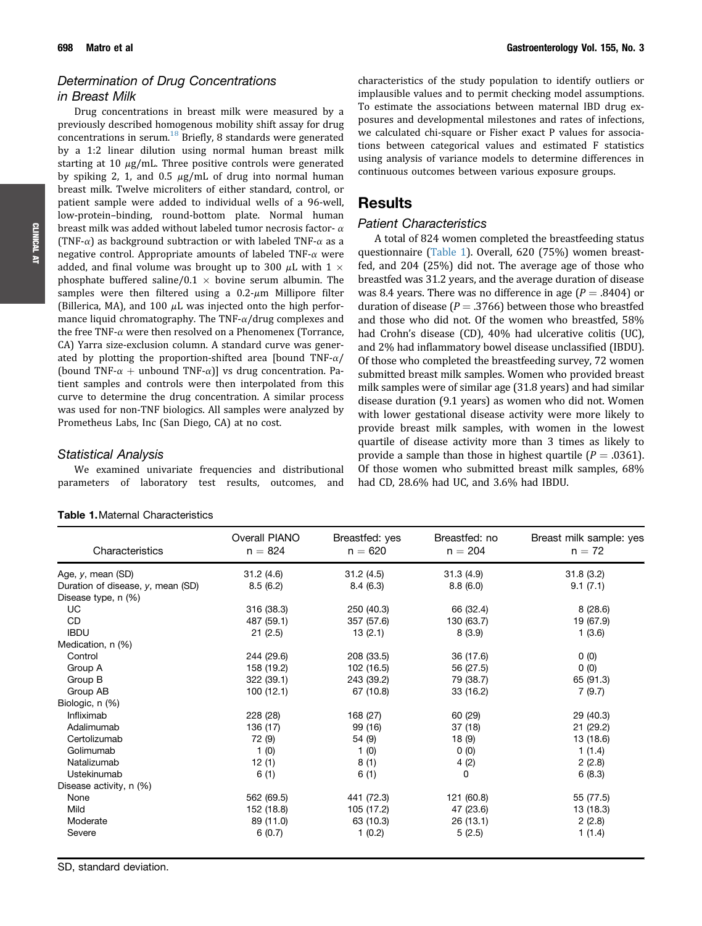# <span id="page-2-0"></span>Determination of Drug Concentrations in Breast Milk

Drug concentrations in breast milk were measured by a previously described homogenous mobility shift assay for drug concentrations in serum. $^{18}$  $^{18}$  $^{18}$  Briefly, 8 standards were generated by a 1:2 linear dilution using normal human breast milk starting at 10  $\mu$ g/mL. Three positive controls were generated by spiking 2, 1, and 0.5  $\mu$ g/mL of drug into normal human breast milk. Twelve microliters of either standard, control, or patient sample were added to individual wells of a 96-well, low-protein–binding, round-bottom plate. Normal human breast milk was added without labeled tumor necrosis factor- $\alpha$ (TNF- $\alpha$ ) as background subtraction or with labeled TNF- $\alpha$  as a negative control. Appropriate amounts of labeled TNF- $\alpha$  were added, and final volume was brought up to 300  $\mu$ L with 1  $\times$ phosphate buffered saline/ $0.1$   $\times$  bovine serum albumin. The samples were then filtered using a  $0.2$ - $\mu$ m Millipore filter (Billerica, MA), and 100  $\mu$ L was injected onto the high performance liquid chromatography. The TNF- $\alpha$ /drug complexes and the free TNF- $\alpha$  were then resolved on a Phenomenex (Torrance, CA) Yarra size-exclusion column. A standard curve was generated by plotting the proportion-shifted area [bound TNF- $\alpha$ ] (bound TNF- $\alpha$  + unbound TNF- $\alpha$ ) vs drug concentration. Patient samples and controls were then interpolated from this curve to determine the drug concentration. A similar process was used for non-TNF biologics. All samples were analyzed by Prometheus Labs, Inc (San Diego, CA) at no cost.

### Statistical Analysis

We examined univariate frequencies and distributional parameters of laboratory test results, outcomes, and

| 31.2(4.6)<br>31.2(4.5)<br>31.3(4.9)<br>31.8(3.2)<br>Age, y, mean (SD)<br>Duration of disease, y, mean (SD)<br>8.5(6.2)<br>8.4(6.3)<br>8.8(6.0)<br>9.1(7.1)<br>Disease type, n (%)<br>UC<br>316 (38.3)<br>66 (32.4)<br>8(28.6)<br>250 (40.3)<br><b>CD</b><br>487 (59.1)<br>130 (63.7)<br>19 (67.9)<br>357 (57.6)<br><b>IBDU</b><br>21(2.5)<br>13(2.1)<br>8(3.9)<br>1(3.6)<br>Medication, n (%)<br>244 (29.6)<br>Control<br>208 (33.5)<br>36 (17.6)<br>0(0)<br>0(0)<br>158 (19.2)<br>102 (16.5)<br>56 (27.5)<br>Group A<br>Group B<br>322 (39.1)<br>243 (39.2)<br>79 (38.7)<br>65 (91.3)<br>Group AB<br>100(12.1)<br>67 (10.8)<br>33 (16.2)<br>7(9.7) | Breast milk sample: yes |
|-----------------------------------------------------------------------------------------------------------------------------------------------------------------------------------------------------------------------------------------------------------------------------------------------------------------------------------------------------------------------------------------------------------------------------------------------------------------------------------------------------------------------------------------------------------------------------------------------------------------------------------------------------|-------------------------|
|                                                                                                                                                                                                                                                                                                                                                                                                                                                                                                                                                                                                                                                     |                         |
|                                                                                                                                                                                                                                                                                                                                                                                                                                                                                                                                                                                                                                                     |                         |
|                                                                                                                                                                                                                                                                                                                                                                                                                                                                                                                                                                                                                                                     |                         |
|                                                                                                                                                                                                                                                                                                                                                                                                                                                                                                                                                                                                                                                     |                         |
|                                                                                                                                                                                                                                                                                                                                                                                                                                                                                                                                                                                                                                                     |                         |
|                                                                                                                                                                                                                                                                                                                                                                                                                                                                                                                                                                                                                                                     |                         |
|                                                                                                                                                                                                                                                                                                                                                                                                                                                                                                                                                                                                                                                     |                         |
|                                                                                                                                                                                                                                                                                                                                                                                                                                                                                                                                                                                                                                                     |                         |
|                                                                                                                                                                                                                                                                                                                                                                                                                                                                                                                                                                                                                                                     |                         |
|                                                                                                                                                                                                                                                                                                                                                                                                                                                                                                                                                                                                                                                     |                         |
|                                                                                                                                                                                                                                                                                                                                                                                                                                                                                                                                                                                                                                                     |                         |
| Biologic, n (%)                                                                                                                                                                                                                                                                                                                                                                                                                                                                                                                                                                                                                                     |                         |
| Infliximab<br>168 (27)<br>60 (29)<br>29 (40.3)<br>228 (28)                                                                                                                                                                                                                                                                                                                                                                                                                                                                                                                                                                                          |                         |
| Adalimumab<br>136 (17)<br>99 (16)<br>37(18)<br>21(29.2)                                                                                                                                                                                                                                                                                                                                                                                                                                                                                                                                                                                             |                         |
| Certolizumab<br>72 (9)<br>54 (9)<br>13 (18.6)<br>18 (9)                                                                                                                                                                                                                                                                                                                                                                                                                                                                                                                                                                                             |                         |
| Golimumab<br>1(1.4)<br>1(0)<br>1(0)<br>0(0)                                                                                                                                                                                                                                                                                                                                                                                                                                                                                                                                                                                                         |                         |
| Natalizumab<br>12(1)<br>8(1)<br>4(2)<br>2(2.8)                                                                                                                                                                                                                                                                                                                                                                                                                                                                                                                                                                                                      |                         |
| Ustekinumab<br>6(1)<br>6(1)<br>0<br>6(8.3)                                                                                                                                                                                                                                                                                                                                                                                                                                                                                                                                                                                                          |                         |
| Disease activity, n (%)                                                                                                                                                                                                                                                                                                                                                                                                                                                                                                                                                                                                                             |                         |
| 562 (69.5)<br>441 (72.3)<br>121 (60.8)<br>55 (77.5)<br>None                                                                                                                                                                                                                                                                                                                                                                                                                                                                                                                                                                                         |                         |
| Mild<br>152 (18.8)<br>105 (17.2)<br>47 (23.6)<br>13 (18.3)                                                                                                                                                                                                                                                                                                                                                                                                                                                                                                                                                                                          |                         |
| 89 (11.0)<br>Moderate<br>63 (10.3)<br>26(13.1)<br>2(2.8)                                                                                                                                                                                                                                                                                                                                                                                                                                                                                                                                                                                            |                         |
| 6(0.7)<br>1(0.2)<br>5(2.5)<br>1(1.4)<br>Severe                                                                                                                                                                                                                                                                                                                                                                                                                                                                                                                                                                                                      |                         |

### Table 1.Maternal Characteristics

characteristics of the study population to identify outliers or implausible values and to permit checking model assumptions. To estimate the associations between maternal IBD drug exposures and developmental milestones and rates of infections, we calculated chi-square or Fisher exact P values for associations between categorical values and estimated F statistics using analysis of variance models to determine differences in continuous outcomes between various exposure groups.

# **Results**

# Patient Characteristics

A total of 824 women completed the breastfeeding status questionnaire (Table 1). Overall, 620 (75%) women breastfed, and 204 (25%) did not. The average age of those who breastfed was 31.2 years, and the average duration of disease was 8.4 years. There was no difference in age  $(P = .8404)$  or duration of disease ( $P = .3766$ ) between those who breastfed and those who did not. Of the women who breastfed, 58% had Crohn's disease (CD), 40% had ulcerative colitis (UC), and 2% had inflammatory bowel disease unclassified (IBDU). Of those who completed the breastfeeding survey, 72 women submitted breast milk samples. Women who provided breast milk samples were of similar age (31.8 years) and had similar disease duration (9.1 years) as women who did not. Women with lower gestational disease activity were more likely to provide breast milk samples, with women in the lowest quartile of disease activity more than 3 times as likely to provide a sample than those in highest quartile ( $P = .0361$ ). Of those women who submitted breast milk samples, 68% had CD, 28.6% had UC, and 3.6% had IBDU.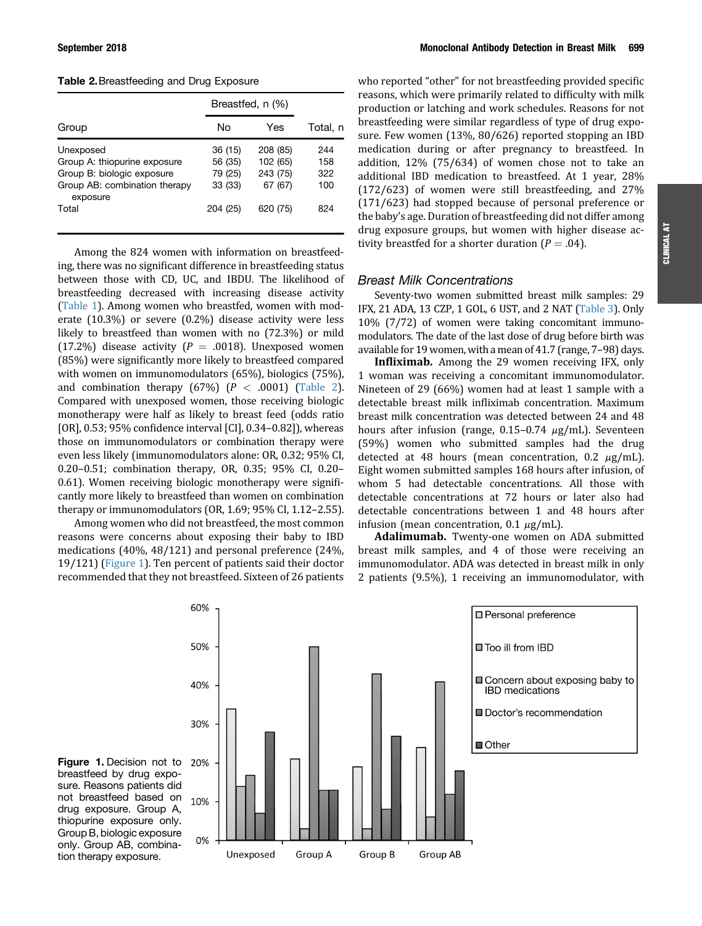Table 2.Breastfeeding and Drug Exposure

|                                                                                                                               | Breastfed, n (%)                                     |                                                         |                                 |
|-------------------------------------------------------------------------------------------------------------------------------|------------------------------------------------------|---------------------------------------------------------|---------------------------------|
| Group                                                                                                                         | N٥                                                   | Yes                                                     | Total. n                        |
| Unexposed<br>Group A: thiopurine exposure<br>Group B: biologic exposure<br>Group AB: combination therapy<br>exposure<br>Total | 36 (15)<br>56 (35)<br>79 (25)<br>33 (33)<br>204 (25) | 208 (85)<br>102 (65)<br>243 (75)<br>67 (67)<br>620 (75) | 244<br>158<br>322<br>100<br>824 |
|                                                                                                                               |                                                      |                                                         |                                 |

Among the 824 women with information on breastfeeding, there was no significant difference in breastfeeding status between those with CD, UC, and IBDU. The likelihood of breastfeeding decreased with increasing disease activity [\(Table 1\)](#page-2-0). Among women who breastfed, women with moderate (10.3%) or severe (0.2%) disease activity were less likely to breastfeed than women with no (72.3%) or mild (17.2%) disease activity ( $P = .0018$ ). Unexposed women (85%) were significantly more likely to breastfeed compared with women on immunomodulators (65%), biologics (75%), and combination therapy  $(67%)$   $(P < .0001)$  (Table 2). Compared with unexposed women, those receiving biologic monotherapy were half as likely to breast feed (odds ratio [OR], 0.53; 95% confidence interval [CI], 0.34–0.82]), whereas those on immunomodulators or combination therapy were even less likely (immunomodulators alone: OR, 0.32; 95% CI, 0.20–0.51; combination therapy, OR, 0.35; 95% CI, 0.20– 0.61). Women receiving biologic monotherapy were significantly more likely to breastfeed than women on combination therapy or immunomodulators (OR, 1.69; 95% CI, 1.12–2.55).

Among women who did not breastfeed, the most common reasons were concerns about exposing their baby to IBD medications (40%, 48/121) and personal preference (24%, 19/121) (Figure 1). Ten percent of patients said their doctor recommended that they not breastfeed. Sixteen of 26 patients who reported "other" for not breastfeeding provided specific reasons, which were primarily related to difficulty with milk production or latching and work schedules. Reasons for not breastfeeding were similar regardless of type of drug exposure. Few women (13%, 80/626) reported stopping an IBD medication during or after pregnancy to breastfeed. In addition, 12% (75/634) of women chose not to take an additional IBD medication to breastfeed. At 1 year, 28% (172/623) of women were still breastfeeding, and 27% (171/623) had stopped because of personal preference or the baby's age. Duration of breastfeeding did not differ among drug exposure groups, but women with higher disease activity breastfed for a shorter duration ( $P = .04$ ).

# Breast Milk Concentrations

Seventy-two women submitted breast milk samples: 29 IFX, 21 ADA, 13 CZP, 1 GOL, 6 UST, and 2 NAT [\(Table 3](#page-4-0)). Only 10% (7/72) of women were taking concomitant immunomodulators. The date of the last dose of drug before birth was available for 19 women, with a mean of 41.7 (range, 7–98) days.

Infliximab. Among the 29 women receiving IFX, only 1 woman was receiving a concomitant immunomodulator. Nineteen of 29 (66%) women had at least 1 sample with a detectable breast milk infliximab concentration. Maximum breast milk concentration was detected between 24 and 48 hours after infusion (range,  $0.15-0.74 \mu g/mL$ ). Seventeen (59%) women who submitted samples had the drug detected at 48 hours (mean concentration,  $0.2 \mu g/mL$ ). Eight women submitted samples 168 hours after infusion, of whom 5 had detectable concentrations. All those with detectable concentrations at 72 hours or later also had detectable concentrations between 1 and 48 hours after infusion (mean concentration,  $0.1 \mu g/mL$ ).

Adalimumab. Twenty-one women on ADA submitted breast milk samples, and 4 of those were receiving an immunomodulator. ADA was detected in breast milk in only 2 patients (9.5%), 1 receiving an immunomodulator, with



Figure 1. Decision not to breastfeed by drug exposure. Reasons patients did not breastfeed based on drug exposure. Group A, thiopurine exposure only. Group B, biologic exposure only. Group AB, combination therapy exposure.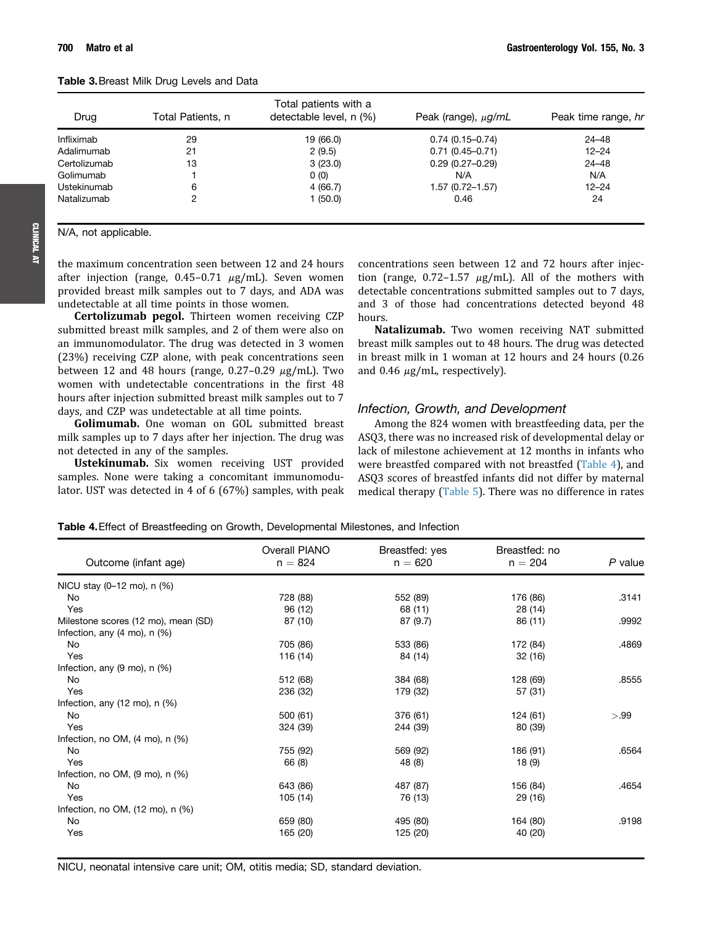N/A, not applicable.

<span id="page-4-0"></span>

| <b>Table 3.</b> Breast Milk Drug Levels and Data |  |  |  |  |  |
|--------------------------------------------------|--|--|--|--|--|
|--------------------------------------------------|--|--|--|--|--|

| Drug         | Total Patients, n | Total patients with a<br>detectable level, n (%) | Peak (range), $\mu$ g/mL | Peak time range, hr |
|--------------|-------------------|--------------------------------------------------|--------------------------|---------------------|
| Infliximab   | 29                | 19 (66.0)                                        | $0.74(0.15 - 0.74)$      | 24–48               |
| Adalimumab   | 21                | 2(9.5)                                           | $0.71(0.45 - 0.71)$      | $12 - 24$           |
| Certolizumab | 13                | 3(23.0)                                          | $0.29(0.27 - 0.29)$      | $24 - 48$           |
| Golimumab    |                   | 0(0)                                             | N/A                      | N/A                 |
| Ustekinumab  | 6                 | 4(66.7)                                          | 1.57 (0.72-1.57)         | $12 - 24$           |
| Natalizumab  | 2                 | (50.0)                                           | 0.46                     | 24                  |

CLINICALAT

the maximum concentration seen between 12 and 24 hours after injection (range,  $0.45-0.71 \mu g/mL$ ). Seven women provided breast milk samples out to 7 days, and ADA was undetectable at all time points in those women.

Certolizumab pegol. Thirteen women receiving CZP submitted breast milk samples, and 2 of them were also on an immunomodulator. The drug was detected in 3 women (23%) receiving CZP alone, with peak concentrations seen between 12 and 48 hours (range,  $0.27-0.29 \mu g/mL$ ). Two women with undetectable concentrations in the first 48 hours after injection submitted breast milk samples out to 7 days, and CZP was undetectable at all time points.

Golimumab. One woman on GOL submitted breast milk samples up to 7 days after her injection. The drug was not detected in any of the samples.

Ustekinumab. Six women receiving UST provided samples. None were taking a concomitant immunomodulator. UST was detected in 4 of 6 (67%) samples, with peak concentrations seen between 12 and 72 hours after injection (range,  $0.72-1.57 \mu g/mL$ ). All of the mothers with detectable concentrations submitted samples out to 7 days, and 3 of those had concentrations detected beyond 48 hours.

Natalizumab. Two women receiving NAT submitted breast milk samples out to 48 hours. The drug was detected in breast milk in 1 woman at 12 hours and 24 hours (0.26 and 0.46  $\mu$ g/mL, respectively).

# Infection, Growth, and Development

Among the 824 women with breastfeeding data, per the ASQ3, there was no increased risk of developmental delay or lack of milestone achievement at 12 months in infants who were breastfed compared with not breastfed (Table 4), and ASQ3 scores of breastfed infants did not differ by maternal medical therapy ([Table 5\)](#page-5-0). There was no difference in rates

|                                                | Overall PIANO | Breastfed: yes | Breastfed: no |         |
|------------------------------------------------|---------------|----------------|---------------|---------|
| Outcome (infant age)                           | $n = 824$     | $n = 620$      | $n = 204$     | P value |
| NICU stay (0-12 mo), n (%)                     |               |                |               |         |
| No                                             | 728 (88)      | 552 (89)       | 176 (86)      | .3141   |
| Yes                                            | 96 (12)       | 68 (11)        | 28 (14)       |         |
| Milestone scores (12 mo), mean (SD)            | 87 (10)       | 87 (9.7)       | 86 (11)       | .9992   |
| Infection, any $(4 \text{ mo})$ , n $(\%)$     |               |                |               |         |
| No                                             | 705 (86)      | 533 (86)       | 172 (84)      | .4869   |
| Yes                                            | 116 (14)      | 84 (14)        | 32 (16)       |         |
| Infection, any (9 mo), n (%)                   |               |                |               |         |
| No                                             | 512 (68)      | 384 (68)       | 128 (69)      | .8555   |
| Yes                                            | 236 (32)      | 179 (32)       | 57 (31)       |         |
| Infection, any $(12 \text{ mo})$ , n $(\%)$    |               |                |               |         |
| No                                             | 500 (61)      | 376 (61)       | 124 (61)      | >.99    |
| Yes                                            | 324 (39)      | 244 (39)       | 80 (39)       |         |
| Infection, no OM, $(4 \text{ mo})$ , n $(\%)$  |               |                |               |         |
| No                                             | 755 (92)      | 569 (92)       | 186 (91)      | .6564   |
| Yes                                            | 66 (8)        | 48 (8)         | 18 (9)        |         |
| Infection, no OM, $(9 \text{ mo})$ , n $(%$    |               |                |               |         |
| No                                             | 643 (86)      | 487 (87)       | 156 (84)      | .4654   |
| Yes                                            | 105 (14)      | 76 (13)        | 29 (16)       |         |
| Infection, no OM, $(12 \text{ mo})$ , n $(\%)$ |               |                |               |         |
| No                                             | 659 (80)      | 495 (80)       | 164 (80)      | .9198   |
| Yes                                            | 165 (20)      | 125 (20)       | 40 (20)       |         |

Table 4.Effect of Breastfeeding on Growth, Developmental Milestones, and Infection

NICU, neonatal intensive care unit; OM, otitis media; SD, standard deviation.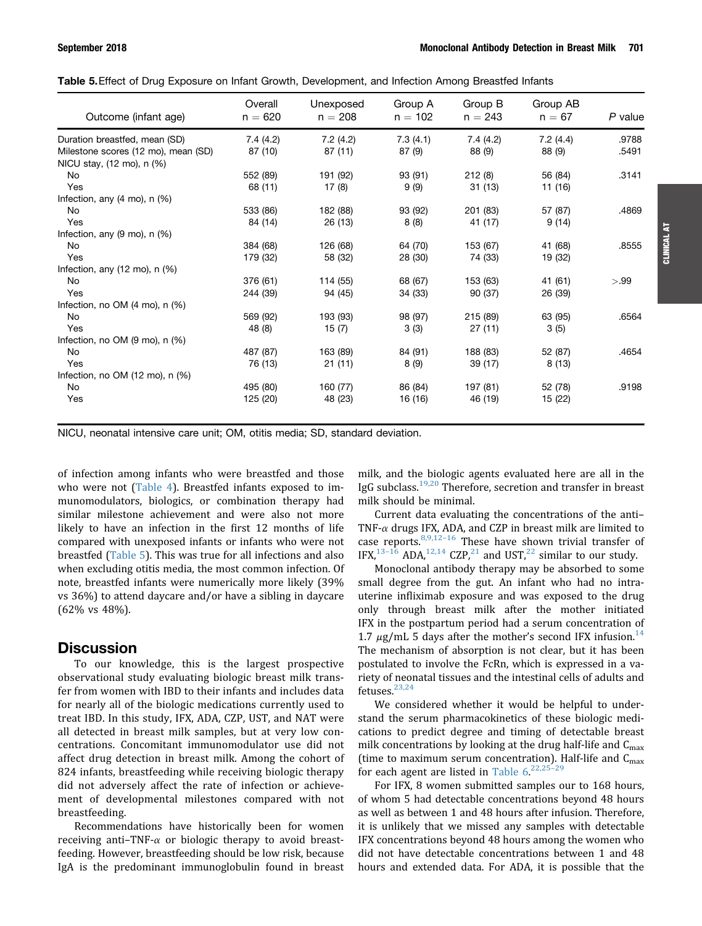<span id="page-5-0"></span>

|  |  | Table 5. Effect of Drug Exposure on Infant Growth, Development, and Infection Among Breastfed Infants |  |  |  |
|--|--|-------------------------------------------------------------------------------------------------------|--|--|--|
|  |  |                                                                                                       |  |  |  |

| Outcome (infant age)                         | Overall<br>$n = 620$ | Unexposed<br>$n = 208$ | Group A<br>$n = 102$ | Group B<br>$n = 243$ | Group AB<br>$n = 67$ | P value |
|----------------------------------------------|----------------------|------------------------|----------------------|----------------------|----------------------|---------|
| Duration breastfed, mean (SD)                | 7.4(4.2)             | 7.2(4.2)               | 7.3(4.1)             | 7.4(4.2)             | 7.2(4.4)             | .9788   |
| Milestone scores (12 mo), mean (SD)          | 87 (10)              | 87 (11)                | 87(9)                | 88 (9)               | 88 (9)               | .5491   |
| NICU stay, (12 mo), n (%)                    |                      |                        |                      |                      |                      |         |
| No                                           | 552 (89)             | 191 (92)               | 93 (91)              | 212 (8)              | 56 (84)              | .3141   |
| Yes                                          | 68 (11)              | 17(8)                  | 9(9)                 | 31(13)               | 11 (16)              |         |
| Infection, any $(4 \text{ mo})$ , n $(\%)$   |                      |                        |                      |                      |                      |         |
| No                                           | 533 (86)             | 182 (88)               | 93 (92)              | 201 (83)             | 57 (87)              | .4869   |
| Yes                                          | 84 (14)              | 26 (13)                | 8(8)                 | 41 (17)              | 9(14)                |         |
| Infection, any $(9 \text{ mo})$ , n $(%$     |                      |                        |                      |                      |                      |         |
| No                                           | 384 (68)             | 126 (68)               | 64 (70)              | 153 (67)             | 41 (68)              | .8555   |
| Yes                                          | 179 (32)             | 58 (32)                | 28 (30)              | 74 (33)              | 19 (32)              |         |
| Infection, any $(12 \text{ mo})$ , n $(\%)$  |                      |                        |                      |                      |                      |         |
| No                                           | 376 (61)             | 114 (55)               | 68 (67)              | 153 (63)             | 41 (61)              | >.99    |
| Yes                                          | 244 (39)             | 94 (45)                | 34 (33)              | 90 (37)              | 26 (39)              |         |
| Infection, no OM $(4 \text{ mo})$ , n $(%$   |                      |                        |                      |                      |                      |         |
| No                                           | 569 (92)             | 193 (93)               | 98 (97)              | 215 (89)             | 63 (95)              | .6564   |
| Yes                                          | 48 (8)               | 15(7)                  | 3(3)                 | 27(11)               | 3(5)                 |         |
| Infection, no OM $(9 \text{ mo})$ , n $(\%)$ |                      |                        |                      |                      |                      |         |
| No                                           | 487 (87)             | 163 (89)               | 84 (91)              | 188 (83)             | 52 (87)              | .4654   |
| Yes                                          | 76 (13)              | 21(11)                 | 8(9)                 | 39 (17)              | 8(13)                |         |
| Infection, no OM (12 mo), n (%)              |                      |                        |                      |                      |                      |         |
| No                                           | 495 (80)             | 160 (77)               | 86 (84)              | 197 (81)             | 52 (78)              | .9198   |
| Yes                                          | 125 (20)             | 48 (23)                | 16 (16)              | 46 (19)              | 15 (22)              |         |

NICU, neonatal intensive care unit; OM, otitis media; SD, standard deviation.

of infection among infants who were breastfed and those who were not ([Table 4](#page-4-0)). Breastfed infants exposed to immunomodulators, biologics, or combination therapy had similar milestone achievement and were also not more likely to have an infection in the first 12 months of life compared with unexposed infants or infants who were not breastfed (Table 5). This was true for all infections and also when excluding otitis media, the most common infection. Of note, breastfed infants were numerically more likely (39% vs 36%) to attend daycare and/or have a sibling in daycare (62% vs 48%).

# **Discussion**

To our knowledge, this is the largest prospective observational study evaluating biologic breast milk transfer from women with IBD to their infants and includes data for nearly all of the biologic medications currently used to treat IBD. In this study, IFX, ADA, CZP, UST, and NAT were all detected in breast milk samples, but at very low concentrations. Concomitant immunomodulator use did not affect drug detection in breast milk. Among the cohort of 824 infants, breastfeeding while receiving biologic therapy did not adversely affect the rate of infection or achievement of developmental milestones compared with not breastfeeding.

Recommendations have historically been for women receiving anti-TNF- $\alpha$  or biologic therapy to avoid breastfeeding. However, breastfeeding should be low risk, because IgA is the predominant immunoglobulin found in breast milk, and the biologic agents evaluated here are all in the IgG subclass.<sup>19,20</sup> Therefore, secretion and transfer in breast milk should be minimal.

Current data evaluating the concentrations of the anti– TNF- $\alpha$  drugs IFX, ADA, and CZP in breast milk are limited to case reports. $8,9,12-16$  $8,9,12-16$  $8,9,12-16$  These have shown trivial transfer of IFX,  $13-16$  $13-16$  $13-16$  ADA,  $12,14$  CZP,  $21$  and UST,  $22$  similar to our study.

Monoclonal antibody therapy may be absorbed to some small degree from the gut. An infant who had no intrauterine infliximab exposure and was exposed to the drug only through breast milk after the mother initiated IFX in the postpartum period had a serum concentration of 1.7  $\mu$ g/mL 5 days after the mother's second IFX infusion.<sup>14</sup> The mechanism of absorption is not clear, but it has been postulated to involve the FcRn, which is expressed in a variety of neonatal tissues and the intestinal cells of adults and fetuses. $23,24$ 

We considered whether it would be helpful to understand the serum pharmacokinetics of these biologic medications to predict degree and timing of detectable breast milk concentrations by looking at the drug half-life and  $C_{\text{max}}$ (time to maximum serum concentration). Half-life and  $C_{\text{max}}$ for each agent are listed in [Table 6](#page-6-0).<sup>[22,25](#page-7-0)-[29](#page-7-0)</sup>

For IFX, 8 women submitted samples our to 168 hours, of whom 5 had detectable concentrations beyond 48 hours as well as between 1 and 48 hours after infusion. Therefore, it is unlikely that we missed any samples with detectable IFX concentrations beyond 48 hours among the women who did not have detectable concentrations between 1 and 48 hours and extended data. For ADA, it is possible that the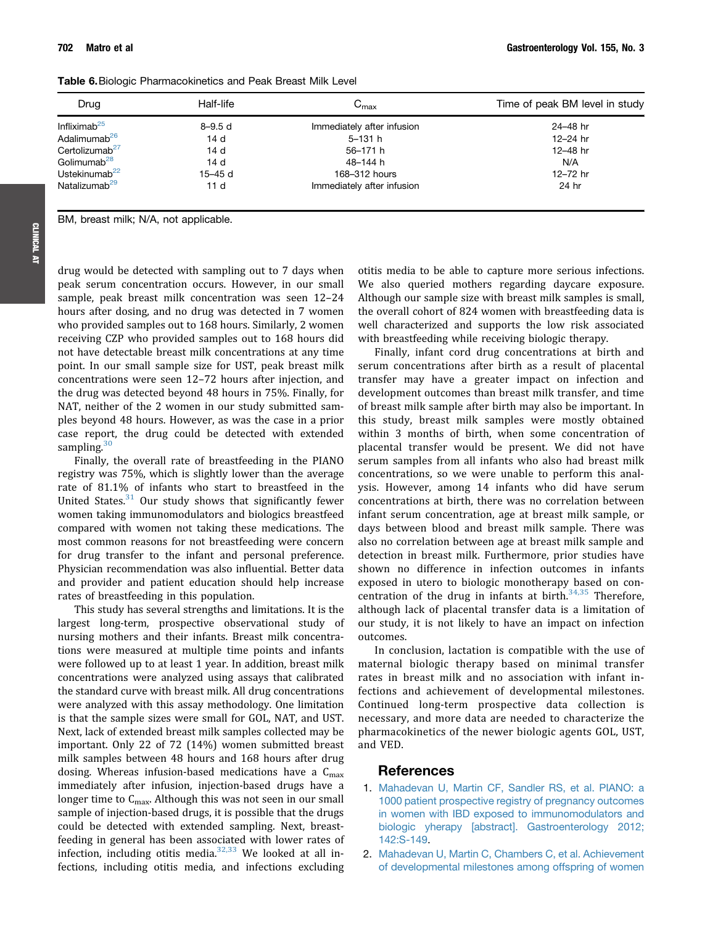| 24-48 hr |
|----------|
| 12-24 hr |
| 12-48 hr |
| N/A      |
| 12-72 hr |
| 24 hr    |
|          |

<span id="page-6-0"></span>Table 6.Biologic Pharmacokinetics and Peak Breast Milk Level

BM, breast milk; N/A, not applicable.

drug would be detected with sampling out to 7 days when peak serum concentration occurs. However, in our small sample, peak breast milk concentration was seen 12–24 hours after dosing, and no drug was detected in 7 women who provided samples out to 168 hours. Similarly, 2 women receiving CZP who provided samples out to 168 hours did not have detectable breast milk concentrations at any time point. In our small sample size for UST, peak breast milk concentrations were seen 12–72 hours after injection, and the drug was detected beyond 48 hours in 75%. Finally, for NAT, neither of the 2 women in our study submitted samples beyond 48 hours. However, as was the case in a prior case report, the drug could be detected with extended sampling. $30$ 

Finally, the overall rate of breastfeeding in the PIANO registry was 75%, which is slightly lower than the average rate of 81.1% of infants who start to breastfeed in the United States.<sup>[31](#page-7-0)</sup> Our study shows that significantly fewer women taking immunomodulators and biologics breastfeed compared with women not taking these medications. The most common reasons for not breastfeeding were concern for drug transfer to the infant and personal preference. Physician recommendation was also influential. Better data and provider and patient education should help increase rates of breastfeeding in this population.

This study has several strengths and limitations. It is the largest long-term, prospective observational study of nursing mothers and their infants. Breast milk concentrations were measured at multiple time points and infants were followed up to at least 1 year. In addition, breast milk concentrations were analyzed using assays that calibrated the standard curve with breast milk. All drug concentrations were analyzed with this assay methodology. One limitation is that the sample sizes were small for GOL, NAT, and UST. Next, lack of extended breast milk samples collected may be important. Only 22 of 72 (14%) women submitted breast milk samples between 48 hours and 168 hours after drug dosing. Whereas infusion-based medications have a  $C<sub>max</sub>$ immediately after infusion, injection-based drugs have a longer time to  $C_{\text{max}}$ . Although this was not seen in our small sample of injection-based drugs, it is possible that the drugs could be detected with extended sampling. Next, breastfeeding in general has been associated with lower rates of infection, including otitis media. $32,33$  We looked at all infections, including otitis media, and infections excluding

otitis media to be able to capture more serious infections. We also queried mothers regarding daycare exposure. Although our sample size with breast milk samples is small, the overall cohort of 824 women with breastfeeding data is well characterized and supports the low risk associated with breastfeeding while receiving biologic therapy.

Finally, infant cord drug concentrations at birth and serum concentrations after birth as a result of placental transfer may have a greater impact on infection and development outcomes than breast milk transfer, and time of breast milk sample after birth may also be important. In this study, breast milk samples were mostly obtained within 3 months of birth, when some concentration of placental transfer would be present. We did not have serum samples from all infants who also had breast milk concentrations, so we were unable to perform this analysis. However, among 14 infants who did have serum concentrations at birth, there was no correlation between infant serum concentration, age at breast milk sample, or days between blood and breast milk sample. There was also no correlation between age at breast milk sample and detection in breast milk. Furthermore, prior studies have shown no difference in infection outcomes in infants exposed in utero to biologic monotherapy based on concentration of the drug in infants at birth. $34,35$  Therefore, although lack of placental transfer data is a limitation of our study, it is not likely to have an impact on infection outcomes.

In conclusion, lactation is compatible with the use of maternal biologic therapy based on minimal transfer rates in breast milk and no association with infant infections and achievement of developmental milestones. Continued long-term prospective data collection is necessary, and more data are needed to characterize the pharmacokinetics of the newer biologic agents GOL, UST, and VED.

# References

- 1. [Mahadevan U, Martin CF, Sandler RS, et al. PIANO: a](http://refhub.elsevier.com/S0016-5085(18)34573-6/sref1) [1000 patient prospective registry of pregnancy outcomes](http://refhub.elsevier.com/S0016-5085(18)34573-6/sref1) [in women with IBD exposed to immunomodulators and](http://refhub.elsevier.com/S0016-5085(18)34573-6/sref1) [biologic yherapy \[abstract\]. Gastroenterology 2012;](http://refhub.elsevier.com/S0016-5085(18)34573-6/sref1) [142:S-149.](http://refhub.elsevier.com/S0016-5085(18)34573-6/sref1)
- 2. [Mahadevan U, Martin C, Chambers C, et al. Achievement](http://refhub.elsevier.com/S0016-5085(18)34573-6/sref2) [of developmental milestones among offspring of women](http://refhub.elsevier.com/S0016-5085(18)34573-6/sref2)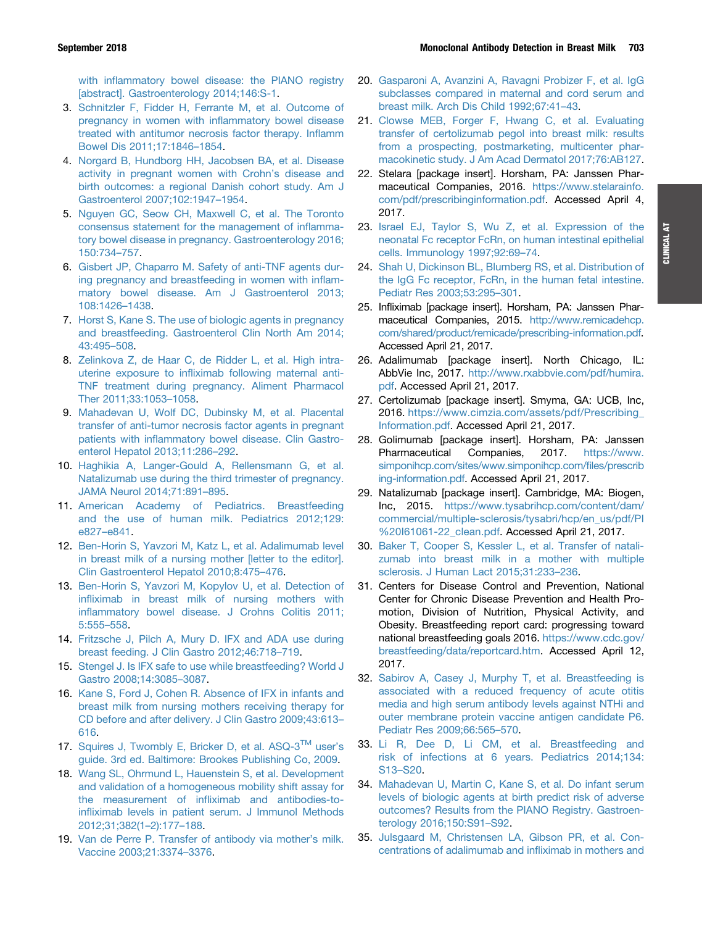<span id="page-7-0"></span>with infl[ammatory bowel disease: the PIANO registry](http://refhub.elsevier.com/S0016-5085(18)34573-6/sref2) [\[abstract\]. Gastroenterology 2014;146:S-1](http://refhub.elsevier.com/S0016-5085(18)34573-6/sref2).

- 3. [Schnitzler F, Fidder H, Ferrante M, et al. Outcome of](http://refhub.elsevier.com/S0016-5085(18)34573-6/sref3) [pregnancy in women with in](http://refhub.elsevier.com/S0016-5085(18)34573-6/sref3)flammatory bowel disease [treated with antitumor necrosis factor therapy. In](http://refhub.elsevier.com/S0016-5085(18)34573-6/sref3)flamm [Bowel Dis 2011;17:1846](http://refhub.elsevier.com/S0016-5085(18)34573-6/sref3)–[1854](http://refhub.elsevier.com/S0016-5085(18)34573-6/sref3).
- 4. [Norgard B, Hundborg HH, Jacobsen BA, et al. Disease](http://refhub.elsevier.com/S0016-5085(18)34573-6/sref4) [activity in pregnant women with Crohn](http://refhub.elsevier.com/S0016-5085(18)34573-6/sref4)'s disease and [birth outcomes: a regional Danish cohort study. Am J](http://refhub.elsevier.com/S0016-5085(18)34573-6/sref4) [Gastroenterol 2007;102:1947](http://refhub.elsevier.com/S0016-5085(18)34573-6/sref4)–[1954.](http://refhub.elsevier.com/S0016-5085(18)34573-6/sref4)
- 5. [Nguyen GC, Seow CH, Maxwell C, et al. The Toronto](http://refhub.elsevier.com/S0016-5085(18)34573-6/sref5) [consensus statement for the management of in](http://refhub.elsevier.com/S0016-5085(18)34573-6/sref5)flamma[tory bowel disease in pregnancy. Gastroenterology 2016;](http://refhub.elsevier.com/S0016-5085(18)34573-6/sref5) [150:734](http://refhub.elsevier.com/S0016-5085(18)34573-6/sref5)–[757.](http://refhub.elsevier.com/S0016-5085(18)34573-6/sref5)
- 6. [Gisbert JP, Chaparro M. Safety of anti-TNF agents dur](http://refhub.elsevier.com/S0016-5085(18)34573-6/sref6)[ing pregnancy and breastfeeding in women with in](http://refhub.elsevier.com/S0016-5085(18)34573-6/sref6)flam[matory bowel disease. Am J Gastroenterol 2013;](http://refhub.elsevier.com/S0016-5085(18)34573-6/sref6) [108:1426](http://refhub.elsevier.com/S0016-5085(18)34573-6/sref6)–[1438.](http://refhub.elsevier.com/S0016-5085(18)34573-6/sref6)
- 7. [Horst S, Kane S. The use of biologic agents in pregnancy](http://refhub.elsevier.com/S0016-5085(18)34573-6/sref7) [and breastfeeding. Gastroenterol Clin North Am 2014;](http://refhub.elsevier.com/S0016-5085(18)34573-6/sref7) [43:495](http://refhub.elsevier.com/S0016-5085(18)34573-6/sref7)–[508.](http://refhub.elsevier.com/S0016-5085(18)34573-6/sref7)
- 8. [Zelinkova Z, de Haar C, de Ridder L, et al. High intra](http://refhub.elsevier.com/S0016-5085(18)34573-6/sref8)uterine exposure to infl[iximab following maternal anti-](http://refhub.elsevier.com/S0016-5085(18)34573-6/sref8)[TNF treatment during pregnancy. Aliment Pharmacol](http://refhub.elsevier.com/S0016-5085(18)34573-6/sref8) [Ther 2011;33:1053](http://refhub.elsevier.com/S0016-5085(18)34573-6/sref8)–[1058.](http://refhub.elsevier.com/S0016-5085(18)34573-6/sref8)
- 9. [Mahadevan U, Wolf DC, Dubinsky M, et al. Placental](http://refhub.elsevier.com/S0016-5085(18)34573-6/sref9) [transfer of anti-tumor necrosis factor agents in pregnant](http://refhub.elsevier.com/S0016-5085(18)34573-6/sref9) patients with infl[ammatory bowel disease. Clin Gastro](http://refhub.elsevier.com/S0016-5085(18)34573-6/sref9)[enterol Hepatol 2013;11:286](http://refhub.elsevier.com/S0016-5085(18)34573-6/sref9)–[292](http://refhub.elsevier.com/S0016-5085(18)34573-6/sref9).
- 10. [Haghikia A, Langer-Gould A, Rellensmann G, et al.](http://refhub.elsevier.com/S0016-5085(18)34573-6/sref10) [Natalizumab use during the third trimester of pregnancy.](http://refhub.elsevier.com/S0016-5085(18)34573-6/sref10) [JAMA Neurol 2014;71:891](http://refhub.elsevier.com/S0016-5085(18)34573-6/sref10)–[895](http://refhub.elsevier.com/S0016-5085(18)34573-6/sref10).
- 11. [American Academy of Pediatrics. Breastfeeding](http://refhub.elsevier.com/S0016-5085(18)34573-6/sref11) [and the use of human milk. Pediatrics 2012;129:](http://refhub.elsevier.com/S0016-5085(18)34573-6/sref11) [e827](http://refhub.elsevier.com/S0016-5085(18)34573-6/sref11)–[e841.](http://refhub.elsevier.com/S0016-5085(18)34573-6/sref11)
- 12. [Ben-Horin S, Yavzori M, Katz L, et al. Adalimumab level](http://refhub.elsevier.com/S0016-5085(18)34573-6/sref12) [in breast milk of a nursing mother \[letter to the editor\].](http://refhub.elsevier.com/S0016-5085(18)34573-6/sref12) [Clin Gastroenterol Hepatol 2010;8:475](http://refhub.elsevier.com/S0016-5085(18)34573-6/sref12)–[476](http://refhub.elsevier.com/S0016-5085(18)34573-6/sref12).
- 13. [Ben-Horin S, Yavzori M, Kopylov U, et al. Detection of](http://refhub.elsevier.com/S0016-5085(18)34573-6/sref13) infl[iximab in breast milk of nursing mothers with](http://refhub.elsevier.com/S0016-5085(18)34573-6/sref13) infl[ammatory bowel disease. J Crohns Colitis 2011;](http://refhub.elsevier.com/S0016-5085(18)34573-6/sref13) [5:555](http://refhub.elsevier.com/S0016-5085(18)34573-6/sref13)–[558.](http://refhub.elsevier.com/S0016-5085(18)34573-6/sref13)
- 14. [Fritzsche J, Pilch A, Mury D. IFX and ADA use during](http://refhub.elsevier.com/S0016-5085(18)34573-6/sref14) [breast feeding. J Clin Gastro 2012;46:718](http://refhub.elsevier.com/S0016-5085(18)34573-6/sref14)–[719](http://refhub.elsevier.com/S0016-5085(18)34573-6/sref14).
- 15. [Stengel J. Is IFX safe to use while breastfeeding? World J](http://refhub.elsevier.com/S0016-5085(18)34573-6/sref15) [Gastro 2008;14:3085](http://refhub.elsevier.com/S0016-5085(18)34573-6/sref15)–[3087.](http://refhub.elsevier.com/S0016-5085(18)34573-6/sref15)
- 16. [Kane S, Ford J, Cohen R. Absence of IFX in infants and](http://refhub.elsevier.com/S0016-5085(18)34573-6/sref16) [breast milk from nursing mothers receiving therapy for](http://refhub.elsevier.com/S0016-5085(18)34573-6/sref16) [CD before and after delivery. J Clin Gastro 2009;43:613](http://refhub.elsevier.com/S0016-5085(18)34573-6/sref16)– [616](http://refhub.elsevier.com/S0016-5085(18)34573-6/sref16).
- 17. [Squires](http://refhub.elsevier.com/S0016-5085(18)34573-6/sref17) [J,](http://refhub.elsevier.com/S0016-5085(18)34573-6/sref17) [Twombly](http://refhub.elsevier.com/S0016-5085(18)34573-6/sref17) [E,](http://refhub.elsevier.com/S0016-5085(18)34573-6/sref17) [Bricker](http://refhub.elsevier.com/S0016-5085(18)34573-6/sref17) [D,](http://refhub.elsevier.com/S0016-5085(18)34573-6/sref17) [et](http://refhub.elsevier.com/S0016-5085(18)34573-6/sref17) [al.](http://refhub.elsevier.com/S0016-5085(18)34573-6/sref17) [ASQ-3](http://refhub.elsevier.com/S0016-5085(18)34573-6/sref17)™ [user](http://refhub.elsevier.com/S0016-5085(18)34573-6/sref17)'s [guide. 3rd ed. Baltimore: Brookes Publishing Co, 2009.](http://refhub.elsevier.com/S0016-5085(18)34573-6/sref17)
- 18. [Wang SL, Ohrmund L, Hauenstein S, et al. Development](http://refhub.elsevier.com/S0016-5085(18)34573-6/sref18) [and validation of a homogeneous mobility shift assay for](http://refhub.elsevier.com/S0016-5085(18)34573-6/sref18) the measurement of infl[iximab and antibodies-to](http://refhub.elsevier.com/S0016-5085(18)34573-6/sref18)infl[iximab levels in patient serum. J Immunol Methods](http://refhub.elsevier.com/S0016-5085(18)34573-6/sref18) [2012;31;382\(1](http://refhub.elsevier.com/S0016-5085(18)34573-6/sref18)–[2\):177](http://refhub.elsevier.com/S0016-5085(18)34573-6/sref18)–[188](http://refhub.elsevier.com/S0016-5085(18)34573-6/sref18).
- 19. [Van de Perre P. Transfer of antibody via mother](http://refhub.elsevier.com/S0016-5085(18)34573-6/sref19)'s milk. [Vaccine 2003;21:3374](http://refhub.elsevier.com/S0016-5085(18)34573-6/sref19)–[3376](http://refhub.elsevier.com/S0016-5085(18)34573-6/sref19).
- 20. [Gasparoni A, Avanzini A, Ravagni Probizer F, et al. IgG](http://refhub.elsevier.com/S0016-5085(18)34573-6/sref20) [subclasses compared in maternal and cord serum and](http://refhub.elsevier.com/S0016-5085(18)34573-6/sref20) [breast milk. Arch Dis Child 1992;67:41](http://refhub.elsevier.com/S0016-5085(18)34573-6/sref20)–[43](http://refhub.elsevier.com/S0016-5085(18)34573-6/sref20).
- 21. [Clowse MEB, Forger F, Hwang C, et al. Evaluating](http://refhub.elsevier.com/S0016-5085(18)34573-6/sref21) [transfer of certolizumab pegol into breast milk: results](http://refhub.elsevier.com/S0016-5085(18)34573-6/sref21) [from a prospecting, postmarketing, multicenter phar](http://refhub.elsevier.com/S0016-5085(18)34573-6/sref21)[macokinetic study. J Am Acad Dermatol 2017;76:AB127.](http://refhub.elsevier.com/S0016-5085(18)34573-6/sref21)
- 22. Stelara [package insert]. Horsham, PA: Janssen Pharmaceutical Companies, 2016. [https://www.stelarainfo.](https://www.stelarainfo.com/pdf/prescribinginformation.pdf) [com/pdf/prescribinginformation.pdf](https://www.stelarainfo.com/pdf/prescribinginformation.pdf). Accessed April 4, 2017.
- 23. [Israel EJ, Taylor S, Wu Z, et al. Expression of the](http://refhub.elsevier.com/S0016-5085(18)34573-6/sref23) [neonatal Fc receptor FcRn, on human intestinal epithelial](http://refhub.elsevier.com/S0016-5085(18)34573-6/sref23) [cells. Immunology 1997;92:69](http://refhub.elsevier.com/S0016-5085(18)34573-6/sref23)–[74.](http://refhub.elsevier.com/S0016-5085(18)34573-6/sref23)
- 24. [Shah U, Dickinson BL, Blumberg RS, et al. Distribution of](http://refhub.elsevier.com/S0016-5085(18)34573-6/sref24) [the IgG Fc receptor, FcRn, in the human fetal intestine.](http://refhub.elsevier.com/S0016-5085(18)34573-6/sref24) [Pediatr Res 2003;53:295](http://refhub.elsevier.com/S0016-5085(18)34573-6/sref24)–[301.](http://refhub.elsevier.com/S0016-5085(18)34573-6/sref24)
- 25. Infliximab [package insert]. Horsham, PA: Janssen Pharmaceutical Companies, 2015. [http://www.remicadehcp.](http://www.remicadehcp.com/shared/product/remicade/prescribing-information.pdf) [com/shared/product/remicade/prescribing-information.pdf](http://www.remicadehcp.com/shared/product/remicade/prescribing-information.pdf). Accessed April 21, 2017.
- 26. Adalimumab [package insert]. North Chicago, IL: AbbVie Inc, 2017. [http://www.rxabbvie.com/pdf/humira.](http://www.rxabbvie.com/pdf/humira.pdf) [pdf](http://www.rxabbvie.com/pdf/humira.pdf). Accessed April 21, 2017.
- 27. Certolizumab [package insert]. Smyma, GA: UCB, Inc, 2016. [https://www.cimzia.com/assets/pdf/Prescribing\\_](https://www.cimzia.com/assets/pdf/Prescribing_Information.pdf) [Information.pdf.](https://www.cimzia.com/assets/pdf/Prescribing_Information.pdf) Accessed April 21, 2017.
- 28. Golimumab [package insert]. Horsham, PA: Janssen Pharmaceutical Companies, 2017. [https://www.](https://www.simponihcp.com/sites/www.simponihcp.com/files/prescribing-information.pdf) [simponihcp.com/sites/www.simponihcp.com/](https://www.simponihcp.com/sites/www.simponihcp.com/files/prescribing-information.pdf)files/prescrib [ing-information.pdf](https://www.simponihcp.com/sites/www.simponihcp.com/files/prescribing-information.pdf). Accessed April 21, 2017.
- 29. Natalizumab [package insert]. Cambridge, MA: Biogen, Inc, 2015. [https://www.tysabrihcp.com/content/dam/](https://www.tysabrihcp.com/content/dam/commercial/multiple-sclerosis/tysabri/hcp/en_us/pdf/PI%20I61061-22_clean.pdf) [commercial/multiple-sclerosis/tysabri/hcp/en\\_us/pdf/PI](https://www.tysabrihcp.com/content/dam/commercial/multiple-sclerosis/tysabri/hcp/en_us/pdf/PI%20I61061-22_clean.pdf) [%20I61061-22\\_clean.pdf.](https://www.tysabrihcp.com/content/dam/commercial/multiple-sclerosis/tysabri/hcp/en_us/pdf/PI%20I61061-22_clean.pdf) Accessed April 21, 2017.
- 30. [Baker T, Cooper S, Kessler L, et al. Transfer of natali](http://refhub.elsevier.com/S0016-5085(18)34573-6/sref30)[zumab into breast milk in a mother with multiple](http://refhub.elsevier.com/S0016-5085(18)34573-6/sref30) [sclerosis. J Human Lact 2015;31:233](http://refhub.elsevier.com/S0016-5085(18)34573-6/sref30)–[236.](http://refhub.elsevier.com/S0016-5085(18)34573-6/sref30)
- 31. Centers for Disease Control and Prevention, National Center for Chronic Disease Prevention and Health Promotion, Division of Nutrition, Physical Activity, and Obesity. Breastfeeding report card: progressing toward national breastfeeding goals 2016. [https://www.cdc.gov/](https://www.cdc.gov/breastfeeding/data/reportcard.htm) [breastfeeding/data/reportcard.htm](https://www.cdc.gov/breastfeeding/data/reportcard.htm). Accessed April 12, 2017.
- 32. [Sabirov A, Casey J, Murphy T, et al. Breastfeeding is](http://refhub.elsevier.com/S0016-5085(18)34573-6/sref32) [associated with a reduced frequency of acute otitis](http://refhub.elsevier.com/S0016-5085(18)34573-6/sref32) [media and high serum antibody levels against NTHi and](http://refhub.elsevier.com/S0016-5085(18)34573-6/sref32) [outer membrane protein vaccine antigen candidate P6.](http://refhub.elsevier.com/S0016-5085(18)34573-6/sref32) [Pediatr Res 2009;66:565](http://refhub.elsevier.com/S0016-5085(18)34573-6/sref32)–[570.](http://refhub.elsevier.com/S0016-5085(18)34573-6/sref32)
- 33. [Li R, Dee D, Li CM, et al. Breastfeeding and](http://refhub.elsevier.com/S0016-5085(18)34573-6/sref33) [risk of infections at 6 years. Pediatrics 2014;134:](http://refhub.elsevier.com/S0016-5085(18)34573-6/sref33) [S13](http://refhub.elsevier.com/S0016-5085(18)34573-6/sref33)–[S20.](http://refhub.elsevier.com/S0016-5085(18)34573-6/sref33)
- 34. [Mahadevan U, Martin C, Kane S, et al. Do infant serum](http://refhub.elsevier.com/S0016-5085(18)34573-6/sref34) [levels of biologic agents at birth predict risk of adverse](http://refhub.elsevier.com/S0016-5085(18)34573-6/sref34) [outcomes? Results from the PIANO Registry. Gastroen](http://refhub.elsevier.com/S0016-5085(18)34573-6/sref34)[terology 2016;150:S91](http://refhub.elsevier.com/S0016-5085(18)34573-6/sref34)–[S92](http://refhub.elsevier.com/S0016-5085(18)34573-6/sref34).
- 35. [Julsgaard M, Christensen LA, Gibson PR, et al. Con](http://refhub.elsevier.com/S0016-5085(18)34573-6/sref35)[centrations of adalimumab and in](http://refhub.elsevier.com/S0016-5085(18)34573-6/sref35)fliximab in mothers and